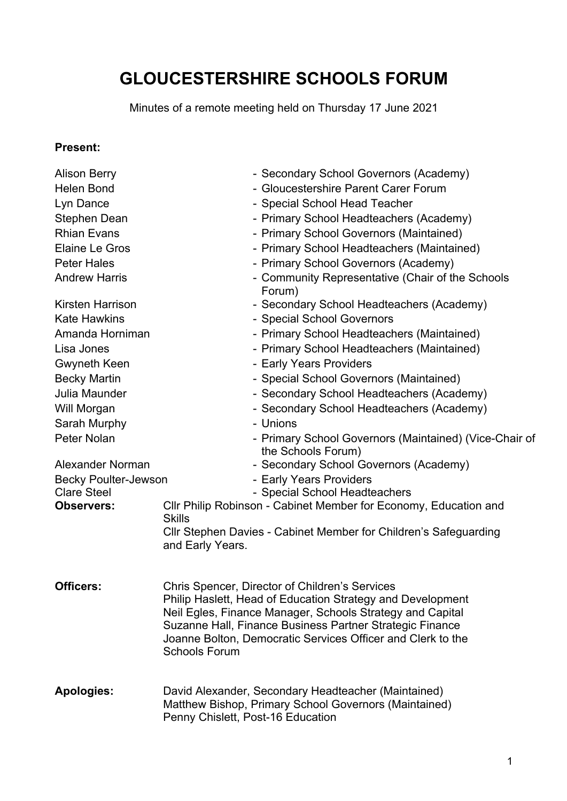# **GLOUCESTERSHIRE SCHOOLS FORUM**

Minutes of a remote meeting held on Thursday 17 June 2021

#### **Present:**

| <b>Alison Berry</b>         | - Secondary School Governors (Academy)                                                                                                                                                                                                                                                                                       |
|-----------------------------|------------------------------------------------------------------------------------------------------------------------------------------------------------------------------------------------------------------------------------------------------------------------------------------------------------------------------|
| <b>Helen Bond</b>           | - Gloucestershire Parent Carer Forum                                                                                                                                                                                                                                                                                         |
| Lyn Dance                   | - Special School Head Teacher                                                                                                                                                                                                                                                                                                |
| Stephen Dean                | - Primary School Headteachers (Academy)                                                                                                                                                                                                                                                                                      |
| <b>Rhian Evans</b>          | - Primary School Governors (Maintained)                                                                                                                                                                                                                                                                                      |
| <b>Elaine Le Gros</b>       | - Primary School Headteachers (Maintained)                                                                                                                                                                                                                                                                                   |
| <b>Peter Hales</b>          | - Primary School Governors (Academy)                                                                                                                                                                                                                                                                                         |
| <b>Andrew Harris</b>        | - Community Representative (Chair of the Schools<br>Forum)                                                                                                                                                                                                                                                                   |
| <b>Kirsten Harrison</b>     | - Secondary School Headteachers (Academy)                                                                                                                                                                                                                                                                                    |
| <b>Kate Hawkins</b>         | - Special School Governors                                                                                                                                                                                                                                                                                                   |
| Amanda Horniman             | - Primary School Headteachers (Maintained)                                                                                                                                                                                                                                                                                   |
| Lisa Jones                  | - Primary School Headteachers (Maintained)                                                                                                                                                                                                                                                                                   |
| <b>Gwyneth Keen</b>         | - Early Years Providers                                                                                                                                                                                                                                                                                                      |
| <b>Becky Martin</b>         | - Special School Governors (Maintained)                                                                                                                                                                                                                                                                                      |
| Julia Maunder               | - Secondary School Headteachers (Academy)                                                                                                                                                                                                                                                                                    |
| Will Morgan                 | - Secondary School Headteachers (Academy)                                                                                                                                                                                                                                                                                    |
| Sarah Murphy                | - Unions                                                                                                                                                                                                                                                                                                                     |
| Peter Nolan                 | - Primary School Governors (Maintained) (Vice-Chair of<br>the Schools Forum)                                                                                                                                                                                                                                                 |
| Alexander Norman            | - Secondary School Governors (Academy)                                                                                                                                                                                                                                                                                       |
| <b>Becky Poulter-Jewson</b> | - Early Years Providers                                                                                                                                                                                                                                                                                                      |
| <b>Clare Steel</b>          | - Special School Headteachers                                                                                                                                                                                                                                                                                                |
| <b>Observers:</b>           | Cllr Philip Robinson - Cabinet Member for Economy, Education and                                                                                                                                                                                                                                                             |
|                             | <b>Skills</b>                                                                                                                                                                                                                                                                                                                |
|                             | Cllr Stephen Davies - Cabinet Member for Children's Safeguarding<br>and Early Years.                                                                                                                                                                                                                                         |
|                             |                                                                                                                                                                                                                                                                                                                              |
| Officers:                   | Chris Spencer, Director of Children's Services<br>Philip Haslett, Head of Education Strategy and Development<br>Neil Egles, Finance Manager, Schools Strategy and Capital<br>Suzanne Hall, Finance Business Partner Strategic Finance<br>Joanne Bolton, Democratic Services Officer and Clerk to the<br><b>Schools Forum</b> |
| <b>Apologies:</b>           | David Alexander, Secondary Headteacher (Maintained)<br>Matthew Bishop, Primary School Governors (Maintained)<br>Penny Chislett, Post-16 Education                                                                                                                                                                            |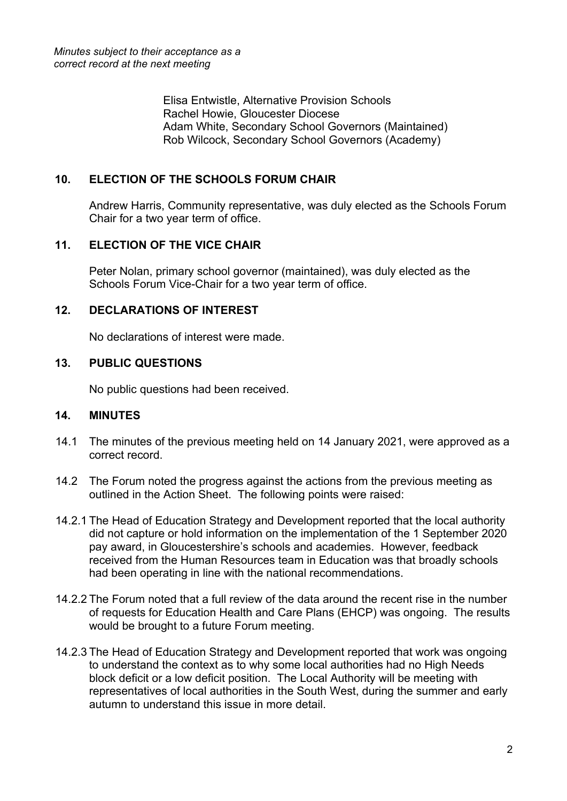Elisa Entwistle, Alternative Provision Schools Rachel Howie, Gloucester Diocese Adam White, Secondary School Governors (Maintained) Rob Wilcock, Secondary School Governors (Academy)

## **10. ELECTION OF THE SCHOOLS FORUM CHAIR**

Andrew Harris, Community representative, was duly elected as the Schools Forum Chair for a two year term of office.

## **11. ELECTION OF THE VICE CHAIR**

Peter Nolan, primary school governor (maintained), was duly elected as the Schools Forum Vice-Chair for a two year term of office.

## **12. DECLARATIONS OF INTEREST**

No declarations of interest were made.

#### **13. PUBLIC QUESTIONS**

No public questions had been received.

#### **14. MINUTES**

- 14.1 The minutes of the previous meeting held on 14 January 2021, were approved as a correct record.
- 14.2 The Forum noted the progress against the actions from the previous meeting as outlined in the Action Sheet. The following points were raised:
- 14.2.1 The Head of Education Strategy and Development reported that the local authority did not capture or hold information on the implementation of the 1 September 2020 pay award, in Gloucestershire's schools and academies. However, feedback received from the Human Resources team in Education was that broadly schools had been operating in line with the national recommendations.
- 14.2.2 The Forum noted that a full review of the data around the recent rise in the number of requests for Education Health and Care Plans (EHCP) was ongoing. The results would be brought to a future Forum meeting.
- 14.2.3 The Head of Education Strategy and Development reported that work was ongoing to understand the context as to why some local authorities had no High Needs block deficit or a low deficit position. The Local Authority will be meeting with representatives of local authorities in the South West, during the summer and early autumn to understand this issue in more detail.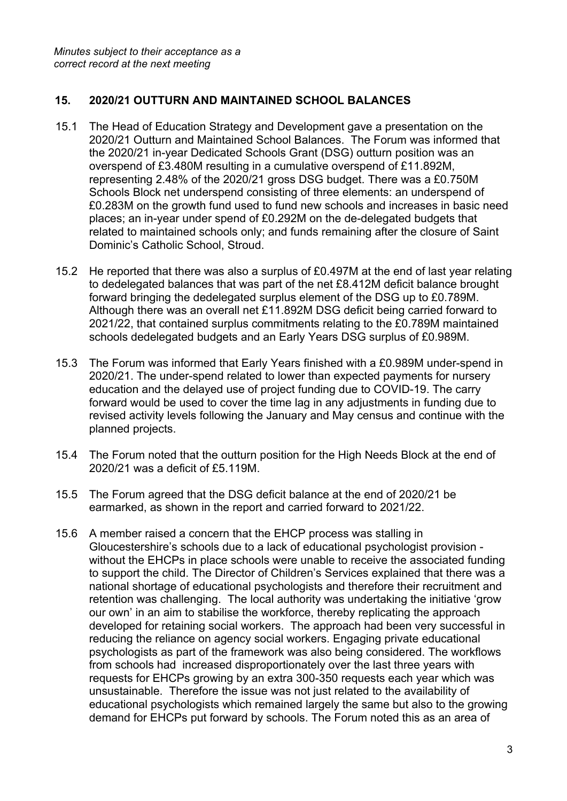### **15. 2020/21 OUTTURN AND MAINTAINED SCHOOL BALANCES**

- 15.1 The Head of Education Strategy and Development gave a presentation on the 2020/21 Outturn and Maintained School Balances. The Forum was informed that the 2020/21 in-year Dedicated Schools Grant (DSG) outturn position was an overspend of £3.480M resulting in a cumulative overspend of £11.892M, representing 2.48% of the 2020/21 gross DSG budget. There was a £0.750M Schools Block net underspend consisting of three elements: an underspend of £0.283M on the growth fund used to fund new schools and increases in basic need places; an in-year under spend of £0.292M on the de-delegated budgets that related to maintained schools only; and funds remaining after the closure of Saint Dominic's Catholic School, Stroud.
- 15.2 He reported that there was also a surplus of £0.497M at the end of last year relating to dedelegated balances that was part of the net £8.412M deficit balance brought forward bringing the dedelegated surplus element of the DSG up to £0.789M. Although there was an overall net £11.892M DSG deficit being carried forward to 2021/22, that contained surplus commitments relating to the £0.789M maintained schools dedelegated budgets and an Early Years DSG surplus of £0.989M.
- 15.3 The Forum was informed that Early Years finished with a £0.989M under-spend in 2020/21. The under-spend related to lower than expected payments for nursery education and the delayed use of project funding due to COVID-19. The carry forward would be used to cover the time lag in any adjustments in funding due to revised activity levels following the January and May census and continue with the planned projects.
- 15.4 The Forum noted that the outturn position for the High Needs Block at the end of 2020/21 was a deficit of £5.119M.
- 15.5 The Forum agreed that the DSG deficit balance at the end of 2020/21 be earmarked, as shown in the report and carried forward to 2021/22.
- 15.6 A member raised a concern that the EHCP process was stalling in Gloucestershire's schools due to a lack of educational psychologist provision without the EHCPs in place schools were unable to receive the associated funding to support the child. The Director of Children's Services explained that there was a national shortage of educational psychologists and therefore their recruitment and retention was challenging. The local authority was undertaking the initiative 'grow our own' in an aim to stabilise the workforce, thereby replicating the approach developed for retaining social workers. The approach had been very successful in reducing the reliance on agency social workers. Engaging private educational psychologists as part of the framework was also being considered. The workflows from schools had increased disproportionately over the last three years with requests for EHCPs growing by an extra 300-350 requests each year which was unsustainable. Therefore the issue was not just related to the availability of educational psychologists which remained largely the same but also to the growing demand for EHCPs put forward by schools. The Forum noted this as an area of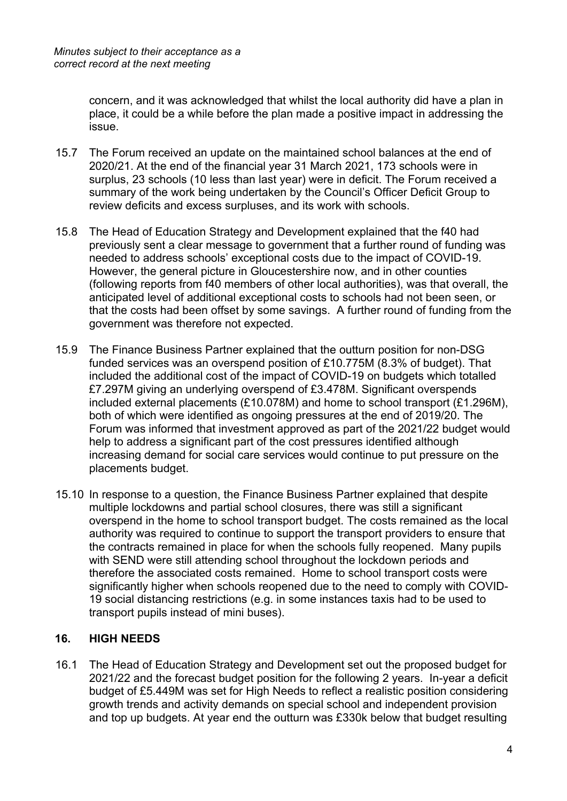concern, and it was acknowledged that whilst the local authority did have a plan in place, it could be a while before the plan made a positive impact in addressing the issue.

- 15.7 The Forum received an update on the maintained school balances at the end of 2020/21. At the end of the financial year 31 March 2021, 173 schools were in surplus, 23 schools (10 less than last year) were in deficit. The Forum received a summary of the work being undertaken by the Council's Officer Deficit Group to review deficits and excess surpluses, and its work with schools.
- 15.8 The Head of Education Strategy and Development explained that the f40 had previously sent a clear message to government that a further round of funding was needed to address schools' exceptional costs due to the impact of COVID-19. However, the general picture in Gloucestershire now, and in other counties (following reports from f40 members of other local authorities), was that overall, the anticipated level of additional exceptional costs to schools had not been seen, or that the costs had been offset by some savings. A further round of funding from the government was therefore not expected.
- 15.9 The Finance Business Partner explained that the outturn position for non-DSG funded services was an overspend position of £10.775M (8.3% of budget). That included the additional cost of the impact of COVID-19 on budgets which totalled £7.297M giving an underlying overspend of £3.478M. Significant overspends included external placements (£10.078M) and home to school transport (£1.296M), both of which were identified as ongoing pressures at the end of 2019/20. The Forum was informed that investment approved as part of the 2021/22 budget would help to address a significant part of the cost pressures identified although increasing demand for social care services would continue to put pressure on the placements budget.
- 15.10 In response to a question, the Finance Business Partner explained that despite multiple lockdowns and partial school closures, there was still a significant overspend in the home to school transport budget. The costs remained as the local authority was required to continue to support the transport providers to ensure that the contracts remained in place for when the schools fully reopened. Many pupils with SEND were still attending school throughout the lockdown periods and therefore the associated costs remained. Home to school transport costs were significantly higher when schools reopened due to the need to comply with COVID-19 social distancing restrictions (e.g. in some instances taxis had to be used to transport pupils instead of mini buses).

#### **16. HIGH NEEDS**

16.1 The Head of Education Strategy and Development set out the proposed budget for 2021/22 and the forecast budget position for the following 2 years. In-year a deficit budget of £5.449M was set for High Needs to reflect a realistic position considering growth trends and activity demands on special school and independent provision and top up budgets. At year end the outturn was £330k below that budget resulting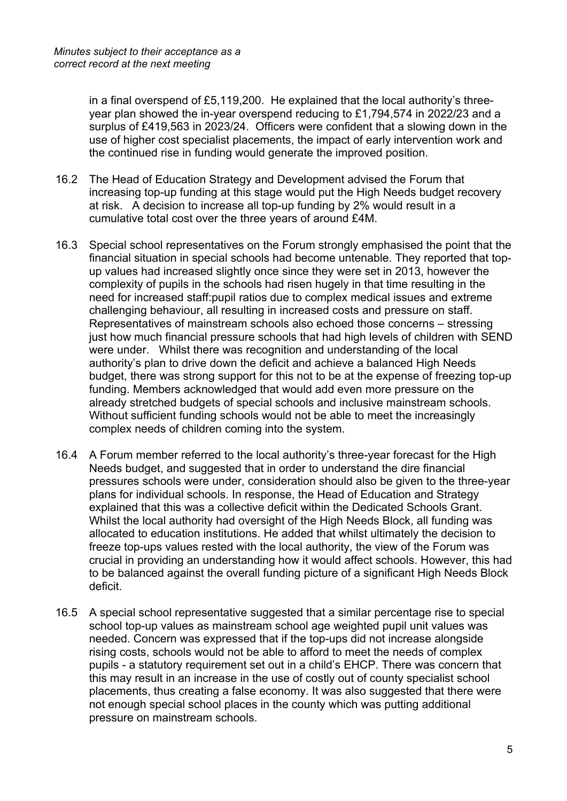in a final overspend of £5,119,200. He explained that the local authority's threeyear plan showed the in-year overspend reducing to £1,794,574 in 2022/23 and a surplus of £419,563 in 2023/24. Officers were confident that a slowing down in the use of higher cost specialist placements, the impact of early intervention work and the continued rise in funding would generate the improved position.

- 16.2 The Head of Education Strategy and Development advised the Forum that increasing top-up funding at this stage would put the High Needs budget recovery at risk. A decision to increase all top-up funding by 2% would result in a cumulative total cost over the three years of around £4M.
- 16.3 Special school representatives on the Forum strongly emphasised the point that the financial situation in special schools had become untenable. They reported that topup values had increased slightly once since they were set in 2013, however the complexity of pupils in the schools had risen hugely in that time resulting in the need for increased staff:pupil ratios due to complex medical issues and extreme challenging behaviour, all resulting in increased costs and pressure on staff. Representatives of mainstream schools also echoed those concerns – stressing just how much financial pressure schools that had high levels of children with SEND were under. Whilst there was recognition and understanding of the local authority's plan to drive down the deficit and achieve a balanced High Needs budget, there was strong support for this not to be at the expense of freezing top-up funding. Members acknowledged that would add even more pressure on the already stretched budgets of special schools and inclusive mainstream schools. Without sufficient funding schools would not be able to meet the increasingly complex needs of children coming into the system.
- 16.4 A Forum member referred to the local authority's three-year forecast for the High Needs budget, and suggested that in order to understand the dire financial pressures schools were under, consideration should also be given to the three-year plans for individual schools. In response, the Head of Education and Strategy explained that this was a collective deficit within the Dedicated Schools Grant. Whilst the local authority had oversight of the High Needs Block, all funding was allocated to education institutions. He added that whilst ultimately the decision to freeze top-ups values rested with the local authority, the view of the Forum was crucial in providing an understanding how it would affect schools. However, this had to be balanced against the overall funding picture of a significant High Needs Block deficit.
- 16.5 A special school representative suggested that a similar percentage rise to special school top-up values as mainstream school age weighted pupil unit values was needed. Concern was expressed that if the top-ups did not increase alongside rising costs, schools would not be able to afford to meet the needs of complex pupils - a statutory requirement set out in a child's EHCP. There was concern that this may result in an increase in the use of costly out of county specialist school placements, thus creating a false economy. It was also suggested that there were not enough special school places in the county which was putting additional pressure on mainstream schools.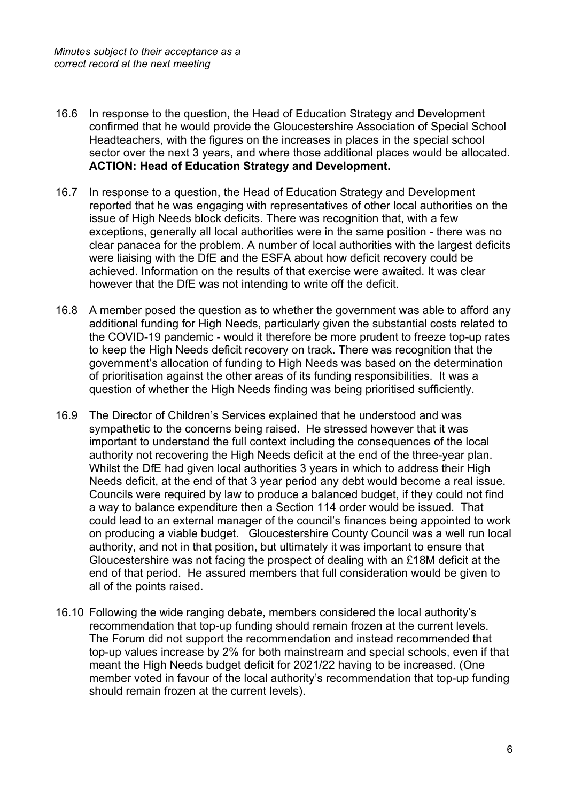- 16.6 In response to the question, the Head of Education Strategy and Development confirmed that he would provide the Gloucestershire Association of Special School Headteachers, with the figures on the increases in places in the special school sector over the next 3 years, and where those additional places would be allocated. **ACTION: Head of Education Strategy and Development.**
- 16.7 In response to a question, the Head of Education Strategy and Development reported that he was engaging with representatives of other local authorities on the issue of High Needs block deficits. There was recognition that, with a few exceptions, generally all local authorities were in the same position - there was no clear panacea for the problem. A number of local authorities with the largest deficits were liaising with the DfE and the ESFA about how deficit recovery could be achieved. Information on the results of that exercise were awaited. It was clear however that the DfE was not intending to write off the deficit.
- 16.8 A member posed the question as to whether the government was able to afford any additional funding for High Needs, particularly given the substantial costs related to the COVID-19 pandemic - would it therefore be more prudent to freeze top-up rates to keep the High Needs deficit recovery on track. There was recognition that the government's allocation of funding to High Needs was based on the determination of prioritisation against the other areas of its funding responsibilities. It was a question of whether the High Needs finding was being prioritised sufficiently.
- 16.9 The Director of Children's Services explained that he understood and was sympathetic to the concerns being raised. He stressed however that it was important to understand the full context including the consequences of the local authority not recovering the High Needs deficit at the end of the three-year plan. Whilst the DfE had given local authorities 3 years in which to address their High Needs deficit, at the end of that 3 year period any debt would become a real issue. Councils were required by law to produce a balanced budget, if they could not find a way to balance expenditure then a Section 114 order would be issued. That could lead to an external manager of the council's finances being appointed to work on producing a viable budget. Gloucestershire County Council was a well run local authority, and not in that position, but ultimately it was important to ensure that Gloucestershire was not facing the prospect of dealing with an £18M deficit at the end of that period. He assured members that full consideration would be given to all of the points raised.
- 16.10 Following the wide ranging debate, members considered the local authority's recommendation that top-up funding should remain frozen at the current levels. The Forum did not support the recommendation and instead recommended that top-up values increase by 2% for both mainstream and special schools, even if that meant the High Needs budget deficit for 2021/22 having to be increased. (One member voted in favour of the local authority's recommendation that top-up funding should remain frozen at the current levels).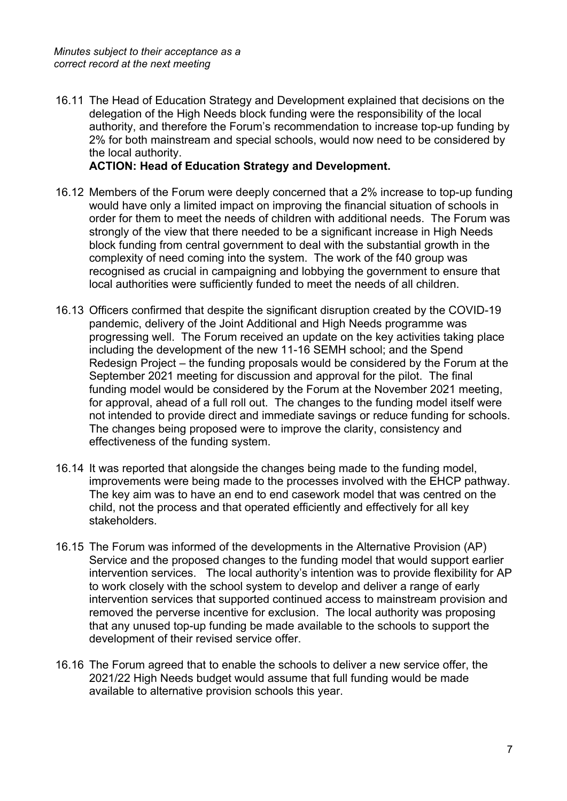16.11 The Head of Education Strategy and Development explained that decisions on the delegation of the High Needs block funding were the responsibility of the local authority, and therefore the Forum's recommendation to increase top-up funding by 2% for both mainstream and special schools, would now need to be considered by the local authority.

#### **ACTION: Head of Education Strategy and Development.**

- 16.12 Members of the Forum were deeply concerned that a 2% increase to top-up funding would have only a limited impact on improving the financial situation of schools in order for them to meet the needs of children with additional needs. The Forum was strongly of the view that there needed to be a significant increase in High Needs block funding from central government to deal with the substantial growth in the complexity of need coming into the system. The work of the f40 group was recognised as crucial in campaigning and lobbying the government to ensure that local authorities were sufficiently funded to meet the needs of all children.
- 16.13 Officers confirmed that despite the significant disruption created by the COVID-19 pandemic, delivery of the Joint Additional and High Needs programme was progressing well. The Forum received an update on the key activities taking place including the development of the new 11-16 SEMH school; and the Spend Redesign Project – the funding proposals would be considered by the Forum at the September 2021 meeting for discussion and approval for the pilot. The final funding model would be considered by the Forum at the November 2021 meeting, for approval, ahead of a full roll out. The changes to the funding model itself were not intended to provide direct and immediate savings or reduce funding for schools. The changes being proposed were to improve the clarity, consistency and effectiveness of the funding system.
- 16.14 It was reported that alongside the changes being made to the funding model, improvements were being made to the processes involved with the EHCP pathway. The key aim was to have an end to end casework model that was centred on the child, not the process and that operated efficiently and effectively for all key stakeholders.
- 16.15 The Forum was informed of the developments in the Alternative Provision (AP) Service and the proposed changes to the funding model that would support earlier intervention services. The local authority's intention was to provide flexibility for AP to work closely with the school system to develop and deliver a range of early intervention services that supported continued access to mainstream provision and removed the perverse incentive for exclusion. The local authority was proposing that any unused top-up funding be made available to the schools to support the development of their revised service offer.
- 16.16 The Forum agreed that to enable the schools to deliver a new service offer, the 2021/22 High Needs budget would assume that full funding would be made available to alternative provision schools this year.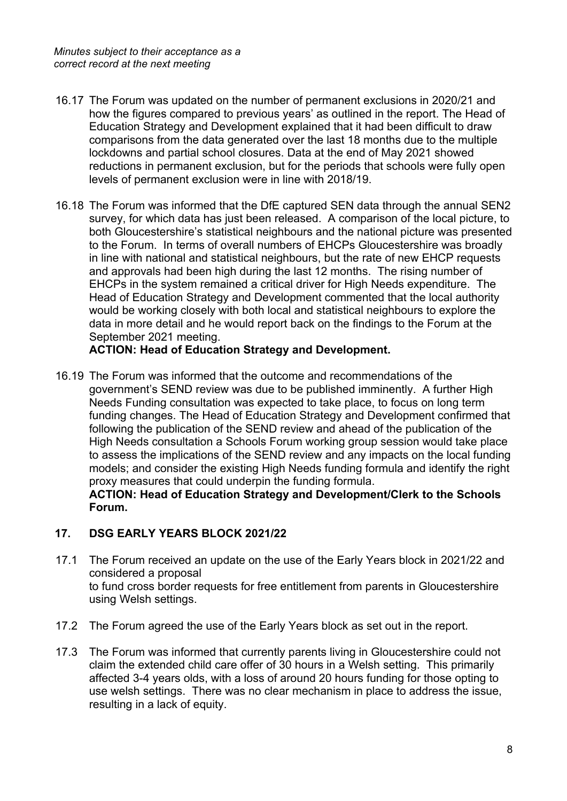- 16.17 The Forum was updated on the number of permanent exclusions in 2020/21 and how the figures compared to previous years' as outlined in the report. The Head of Education Strategy and Development explained that it had been difficult to draw comparisons from the data generated over the last 18 months due to the multiple lockdowns and partial school closures. Data at the end of May 2021 showed reductions in permanent exclusion, but for the periods that schools were fully open levels of permanent exclusion were in line with 2018/19.
- 16.18 The Forum was informed that the DfE captured SEN data through the annual SEN2 survey, for which data has just been released. A comparison of the local picture, to both Gloucestershire's statistical neighbours and the national picture was presented to the Forum. In terms of overall numbers of EHCPs Gloucestershire was broadly in line with national and statistical neighbours, but the rate of new EHCP requests and approvals had been high during the last 12 months. The rising number of EHCPs in the system remained a critical driver for High Needs expenditure. The Head of Education Strategy and Development commented that the local authority would be working closely with both local and statistical neighbours to explore the data in more detail and he would report back on the findings to the Forum at the September 2021 meeting.

#### **ACTION: Head of Education Strategy and Development.**

16.19 The Forum was informed that the outcome and recommendations of the government's SEND review was due to be published imminently. A further High Needs Funding consultation was expected to take place, to focus on long term funding changes. The Head of Education Strategy and Development confirmed that following the publication of the SEND review and ahead of the publication of the High Needs consultation a Schools Forum working group session would take place to assess the implications of the SEND review and any impacts on the local funding models; and consider the existing High Needs funding formula and identify the right proxy measures that could underpin the funding formula.

**ACTION: Head of Education Strategy and Development/Clerk to the Schools Forum.**

#### **17. DSG EARLY YEARS BLOCK 2021/22**

- 17.1 The Forum received an update on the use of the Early Years block in 2021/22 and considered a proposal to fund cross border requests for free entitlement from parents in Gloucestershire using Welsh settings.
- 17.2 The Forum agreed the use of the Early Years block as set out in the report.
- 17.3 The Forum was informed that currently parents living in Gloucestershire could not claim the extended child care offer of 30 hours in a Welsh setting. This primarily affected 3-4 years olds, with a loss of around 20 hours funding for those opting to use welsh settings. There was no clear mechanism in place to address the issue, resulting in a lack of equity.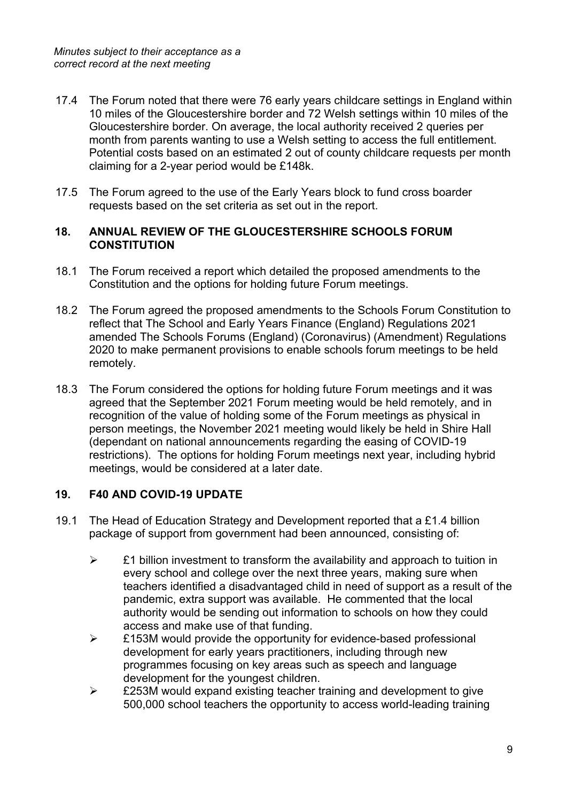- 17.4 The Forum noted that there were 76 early years childcare settings in England within 10 miles of the Gloucestershire border and 72 Welsh settings within 10 miles of the Gloucestershire border. On average, the local authority received 2 queries per month from parents wanting to use a Welsh setting to access the full entitlement. Potential costs based on an estimated 2 out of county childcare requests per month claiming for a 2-year period would be £148k.
- 17.5 The Forum agreed to the use of the Early Years block to fund cross boarder requests based on the set criteria as set out in the report.

#### **18. ANNUAL REVIEW OF THE GLOUCESTERSHIRE SCHOOLS FORUM CONSTITUTION**

- 18.1 The Forum received a report which detailed the proposed amendments to the Constitution and the options for holding future Forum meetings.
- 18.2 The Forum agreed the proposed amendments to the Schools Forum Constitution to reflect that The School and Early Years Finance (England) Regulations 2021 amended The Schools Forums (England) (Coronavirus) (Amendment) Regulations 2020 to make permanent provisions to enable schools forum meetings to be held remotely.
- 18.3 The Forum considered the options for holding future Forum meetings and it was agreed that the September 2021 Forum meeting would be held remotely, and in recognition of the value of holding some of the Forum meetings as physical in person meetings, the November 2021 meeting would likely be held in Shire Hall (dependant on national announcements regarding the easing of COVID-19 restrictions). The options for holding Forum meetings next year, including hybrid meetings, would be considered at a later date.

## **19. F40 AND COVID-19 UPDATE**

- 19.1 The Head of Education Strategy and Development reported that a £1.4 billion package of support from government had been announced, consisting of:
	- $\triangleright$  £1 billion investment to transform the availability and approach to tuition in every school and college over the next three years, making sure when teachers identified a disadvantaged child in need of support as a result of the pandemic, extra support was available. He commented that the local authority would be sending out information to schools on how they could access and make use of that funding.
	- $\triangleright$  £153M would provide the opportunity for evidence-based professional development for early years practitioners, including through new programmes focusing on key areas such as speech and language development for the youngest children.
	- $\triangleright$  £253M would expand existing teacher training and development to give 500,000 school teachers the opportunity to access world-leading training